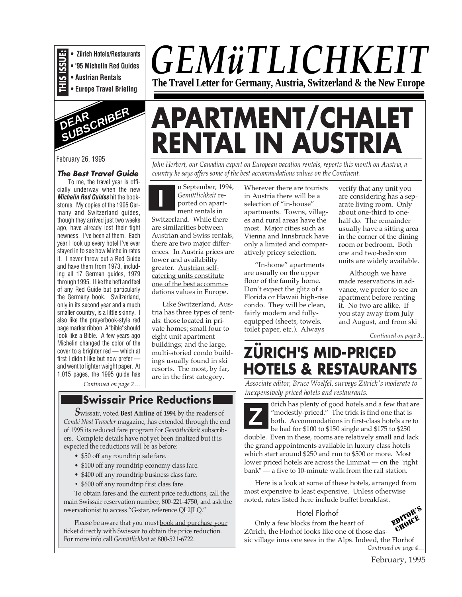

**• '95 Michelin Red Guides • Austrian Rentals**

**• Europe Travel Briefing**



February 26, 1995

#### **The Best Travel Guide**

To me, the travel year is officially underway when the new **Michelin Red Guides** hit the bookstores. My copies of the 1995 Germany and Switzerland guides, though they arrived just two weeks ago, have already lost their tight newness. I've been at them. Each year I look up every hotel I've ever stayed in to see how Michelin rates it. I never throw out a Red Guide and have them from 1973, including all 17 German guides, 1979 through 1995. I like the heft and feel of any Red Guide but particularly the Germany book. Switzerland, only in its second year and a much smaller country, is a little skinny. I also like the prayerbook-style red page marker ribbon. A "bible" should look like a Bible. A few years ago Michelin changed the color of the cover to a brighter red — which at first I didn't like but now prefer and went to lighter weight paper. At 1,015 pages, the 1995 guide has

**I** *country he says offers some of the best accommodations values on the Continent.* n September, 1994, *Gemütlichkeit* reported on apartment rentals in Switzerland. While there are similarities between Austrian and Swiss rentals, there are two major differences. In Austria prices are lower and availability greater. Austrian selfcatering units constitute one of the best accommodations values in Europe.

Like Switzerland, Austria has three types of rentals: those located in private homes; small four to eight unit apartment buildings; and the large, multi-storied condo buildings usually found in ski resorts. The most, by far, are in the first category.

*Continued on page 2…*

# **i** *inexpensively priced hotels and restaurants.* **Swissair Price Reductions in a standard priced hotels and a few that are**

*S*wissair, voted **Best Airline of 1994** by the readers of *Condé Nast Traveler* magazine, has extended through the end of 1995 its reduced fare program for *Gemütlichkeit* subscribers. Complete details have not yet been finalized but it is expected the reductions will be as before:

- \$50 off any roundtrip sale fare.
- \$100 off any roundtrip economy class fare.
- \$400 off any roundtrip business class fare.
- \$600 off any roundtrip first class fare.

To obtain fares and the current price reductions, call the main Swissair reservation number, 800-221-4750, and ask the reservationist to access "G-star, reference QL2JLQ."

Please be aware that you must book and purchase your ticket directly with Swissair to obtain the price reduction. For more info call *Gemütlichkeit* at 800-521-6722.

Wherever there are tourists in Austria there will be a selection of "in-house" apartments. Towns, villages and rural areas have the most. Major cities such as Vienna and Innsbruck have only a limited and comparatively pricey selection.

*John Herbert, our Canadian expert on European vacation rentals, reports this month on Austria, a*

**RENTAL IN AUSTRIA**

**APARTMENT/CHALET**

"In-home" apartments are usually on the upper floor of the family home. Don't expect the glitz of a Florida or Hawaii high-rise condo. They will be clean, fairly modern and fullyequipped (sheets, towels, toilet paper, etc.). Always

verify that any unit you are considering has a separate living room. Only about one-third to onehalf do. The remainder usually have a sitting area in the corner of the dining room or bedroom. Both one and two-bedroom units are widely available.

Although we have made reservations in advance, we prefer to see an apartment before renting it. No two are alike. If you stay away from July and August, and from ski

*Continued on page 3…*

# **ZÜRICH'S MID-PRICED HOTELS & RESTAURANTS**

*Associate editor, Bruce Woelfel, surveys Zürich's moderate to*

The trick is find one that are<br> **Z** "modestly-priced." The trick is find one that is<br>
both. Accommodations in first-class hotels are to<br>
bo had for \$100 to \$150 single and \$175 to \$250 "modestly-priced." The trick is find one that is be had for \$100 to \$150 single and \$175 to \$250

double. Even in these, rooms are relatively small and lack the grand appointments available in luxury class hotels which start around \$250 and run to \$500 or more. Most lower priced hotels are across the Limmat — on the "right bank" — a five to 10-minute walk from the rail station.

Here is a look at some of these hotels, arranged from most expensive to least expensive. Unless otherwise noted, rates listed here include buffet breakfast.

#### Hotel Florhof

Only a few blocks from the heart of Zürich, the Florhof looks like one of those classic village inns one sees in the Alps. Indeed, the Florhof *Continued on page 4…*



# *GEMüTLICHKEIT* **The Travel Letter for Germany, Austria, Switzerland & the New Europe**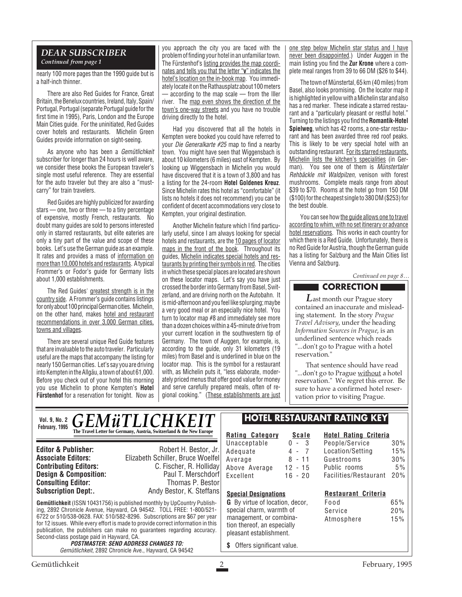#### *DEAR SUBSCRIBER Continued from page 1*

nearly 100 more pages than the 1990 guide but is a half-inch thinner.

There are also Red Guides for France, Great Britain, the Benelux countries, Ireland, Italy, Spain/ Portugal, Portugal (separate Portugal guide for the first time in 1995), Paris, London and the Europe Main Cities guide. For the uninitiated, Red Guides cover hotels and restaurants. Michelin Green Guides provide information on sight-seeing.

As anyone who has been a Gemütlichkeit subscriber for longer than 24 hours is well aware, we consider these books the European traveler's single most useful reference. They are essential for the auto traveler but they are also a "mustcarry" for train travelers.

Red Guides are highly publicized for awarding stars — one, two or three — to a tiny percentage of expensive, mostly French, restaurants. No doubt many guides are sold to persons interested only in starred restaurants, but elite eateries are only a tiny part of the value and scope of these books. Let's use the German guide as an example. It rates and provides a mass of information on more than 10,000 hotels and restaurants. A typical Frommer's or Fodor's guide for Germany lists about 1,000 establishments.

The Red Guides' greatest strength is in the country side. A Frommer's guide contains listings for only about 100 principal German cities. Michelin, on the other hand, makes hotel and restaurant recommendations in over 3,000 German cities, towns and villages.

There are several unique Red Guide features that are invaluable to the auto traveler. Particularly useful are the maps that accompany the listing for nearly 150 German cities. Let's say you are driving into Kempten in the Allgäu, a town of about 61,000. Before you check out of your hotel this morning you use Michelin to phone Kempten's **Hotel Fürstenhof** for a reservation for tonight. Now as you approach the city you are faced with the problem of finding your hotel in an unfamiliar town. The Fürstenhof's listing provides the map coordinates and tells you that the letter "**v**" indicates the hotel's location on the in-book map. You immediately locate it on the Rathausplatz about 100 meters — according to the map scale — from the Iller river. The map even shows the direction of the town's one-way streets and you have no trouble driving directly to the hotel.

Had you discovered that all the hotels in Kempten were booked you could have referred to your Die Generalkarte #25 map to find a nearby town. You might have seen that Wiggensbach is about 10 kilometers (6 miles) east of Kempten. By looking up Wiggensbach in Michelin you would have discovered that it is a town of 3,800 and has a listing for the 24-room **Hotel Goldenes Kreuz**. Since Michelin rates this hotel as "comfortable" (it lists no hotels it does not recommend) you can be confident of decent accommodations very close to Kempten, your original destination.

Another Michelin feature which I find particularly useful, since I am always looking for special hotels and restaurants, are the 10 pages of locator maps in the front of the book. Throughout its guides, Michelin indicates special hotels and restaurants by printing their symbols in red. The cities in which these special places are located are shown on these locator maps. Let's say you have just crossed the border into Germany from Basel, Switzerland, and are driving north on the Autobahn. It is mid-afternoon and you feel like splurging; maybe a very good meal or an especially nice hotel. You turn to locator map #8 and immediately see more than a dozen choices within a 45-minute drive from your current location in the southwestern tip of Germany. The town of Auggen, for example, is, according to the guide, only 31 kilometers (19 miles) from Basel and is underlined in blue on the locator map. This is the symbol for a restaurant with, as Michelin puts it, "less elaborate, moderately priced menus that offer good value for money and serve carefully prepared meals, often of regional cooking." (These establishments are just one step below Michelin star status and I have never been disappointed.) Under Auggen in the main listing you find the **Zur Krone** where a complete meal ranges from 39 to 66 DM (\$26 to \$44).

The town of Münstertal, 65 km (40 miles) from Basel, also looks promising. On the locator map it is highlighted in yellow with a Michelin star and also has a red marker. These indicate a starred restaurant and a "particularly pleasant or restful hotel." Turning to the listings you find the **Romantik-Hotel Spielweg**, which has 42 rooms, a one-star restaurant and has been awarded three red roof peaks. This is likely to be very special hotel with an outstanding restaurant. For its starred restaurants, Michelin lists the kitchen's specialities (in German). You see one of them is *Münstertaler* Rehbäckle mit Waldpilzen, venison with forest mushrooms. Complete meals range from about \$39 to \$70. Rooms at the hotel go from 150 DM (\$100) for the cheapest single to 380 DM (\$253) for the best double.

You can see how the guide allows one to travel according to whim, with no set itinerary or advance hotel reservations. This works in each country for which there is a Red Guide. Unfortunately, there is no Red Guide for Austria, though the German guide has a listing for Salzburg and the Main Cities list Vienna and Salzburg.

*Continued on page 8…*

## **CORRECTION**

*L*ast month our Prague story contained an inaccurate and misleading statement. In the story *Prague Travel Advisory*, under the heading *Information Sources in Prague*, is an underlined sentence which reads "...don't go to Prague with a hotel reservation."

That sentence should have read "...don't go to Prague without a hotel reservation." We regret this error. Be sure to have a confirmed hotel reservation prior to visiting Prague.

*GEMÜTLICHKEIT* **The Travel Letter for Germany, Austria, Switzerland & the New Europe Vol. 9, No. 2 February, 1995**

**Consulting Editor:**<br>Subscription Dept:.

**Editor & Publisher:** Robert H. Bestor, Jr. **Associate Editors:** Elizabeth Schiller, Bruce Woelfel **C. Fischer, R. Holliday**<br>Paul T. Merschdorf **Design & Composition:** Paul T. Merschdorf **Consulting Editor:** Paul T. Merschdorf **Consulting Editor:** Paul Thomas P. Bestor Andy Bestor, K. Steffans

**Gemütlichkeit** (ISSN 10431756) is published monthly by UpCountry Publishing, 2892 Chronicle Avenue, Hayward, CA 94542. TOLL FREE: 1-800/521- 6722 or 510/538-0628. FAX: 510/582-8296. Subscriptions are \$67 per year for 12 issues. While every effort is made to provide correct information in this publication, the publishers can make no guarantees regarding accuracy. Second-class postage paid in Hayward, CA.

**POSTMASTER: SEND ADDRESS CHANGES TO:** Gemütlichkeit, 2892 Chronicle Ave., Hayward, CA 94542

# **HOTEL RESTAURANT RATING KEY**

**Rating Category Scale** Unacceptable 0 - 3<br>Adequate 4 - 7 Adequate 4 - 7<br>Average 8 - 11 Average Above Average 12 - 15 Excellent 16 - 20

#### **Hotel Rating Criteria** People/Service 30% Location/Setting 15% Guestrooms 30% Public rooms 5% Facilities/Restaurant 20%

**Restaurant Criteria**

| 65% |
|-----|
| 20% |
| 15% |
|     |

pleasant establishment. **\$** Offers significant value.

**Special Designations G** By virtue of location, decor, special charm, warmth of management, or combination thereof, an especially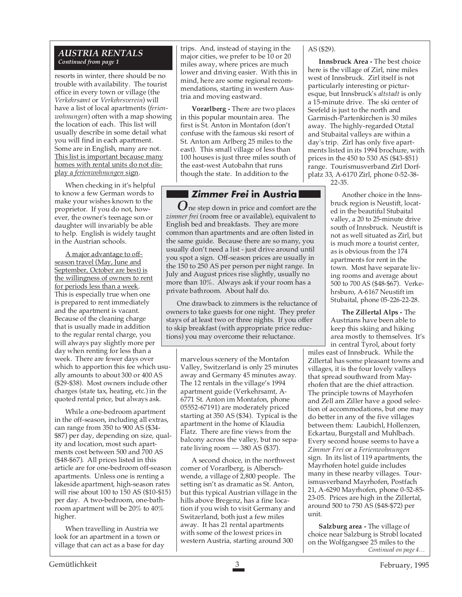#### *AUSTRIA RENTALS Continued from page 1*

resorts in winter, there should be no trouble with availability. The tourist office in every town or village (the *Verkehrsamt* or *Verkehrsverein*) will have a list of local apartments (*ferienwohnungen*) often with a map showing the location of each. This list will usually describe in some detail what you will find in each apartment. Some are in English, many are not. This list is important because many homes with rental units do not display a *ferienwohnungen* sign.

When checking in it's helpful to know a few German words to make your wishes known to the proprietor. If you do not, however, the owner's teenage son or daughter will invariably be able to help. English is widely taught in the Austrian schools.

A major advantage to offseason travel (May, June and September, October are best) is the willingness of owners to rent for periods less than a week. This is especially true when one is prepared to rent immediately and the apartment is vacant. Because of the cleaning charge that is usually made in addition to the regular rental charge, you will always pay slightly more per day when renting for less than a week. There are fewer days over which to apportion this fee which usually amounts to about 300 or 400 AS (\$29-\$38). Most owners include other charges (state tax, heating, etc.) in the quoted rental price, but always ask.

While a one-bedroom apartment in the off-season, including all extras, can range from 350 to 900 AS (\$34- \$87) per day, depending on size, quality and location, most such apartments cost between 500 and 700 AS (\$48-\$67). All prices listed in this article are for one-bedroom off-season apartments. Unless one is renting a lakeside apartment, high-season rates will rise about 100 to 150 AS (\$10-\$15) per day. A two-bedroom, one-bathroom apartment will be 20% to 40% higher.

When travelling in Austria we look for an apartment in a town or village that can act as a base for day

trips. And, instead of staying in the major cities, we prefer to be 10 or 20 miles away, where prices are much lower and driving easier. With this in mind, here are some regional recommendations, starting in western Austria and moving eastward.

**Vorarlberg -** There are two places in this popular mountain area. The first is St. Anton in Montafon (don't confuse with the famous ski resort of St. Anton am Arlberg 25 miles to the east). This small village of less than 100 houses is just three miles south of the east-west Autobahn that runs though the state. In addition to the

# **Zimmer Frei in Austria**

*O*ne step down in price and comfort are the *zimmer frei* (room free or available), equivalent to English bed and breakfasts. They are more common than apartments and are often listed in the same guide. Because there are so many, you usually don't need a list - just drive around until you spot a sign. Off-season prices are usually in the 150 to 250 AS per person per night range. In July and August prices rise slightly, usually no more than 10%. Always ask if your room has a private bathroom. About half do.

One drawback to zimmers is the reluctance of owners to take guests for one night. They prefer stays of at least two or three nights. If you offer to skip breakfast (with appropriate price reductions) you may overcome their reluctance.

marvelous scenery of the Montafon Valley, Switzerland is only 25 minutes away and Germany 45 minutes away. The 12 rentals in the village's 1994 apartment guide (Verkehrsamt, A-6771 St. Anton im Montafon, phone 05552-67191) are moderately priced starting at 350 AS (\$34). Typical is the apartment in the home of Klaudia Flatz. There are fine views from the balcony across the valley, but no separate living room — 380 AS (\$37).

A second choice, in the northwest corner of Vorarlberg, is Alberschwende, a village of 2,800 people. The setting isn't as dramatic as St. Anton, but this typical Austrian village in the hills above Bregenz, has a fine location if you wish to visit Germany and Switzerland, both just a few miles away. It has 21 rental apartments with some of the lowest prices in western Austria, starting around 300

AS (\$29).

**Innsbruck Area -** The best choice here is the village of Zirl, nine miles west of Innsbruck. Zirl itself is not particularly interesting or picturesque, but Innsbruck's *altstadt* is only a 15-minute drive. The ski center of Seefeld is just to the north and Garmisch-Partenkirchen is 30 miles away. The highly-regarded Otztal and Stubaital valleys are within a day's trip. Zirl has only five apartments listed in its 1994 brochure, with prices in the 450 to 530 AS (\$43-\$51) range. Tourismusverband Zirl Dorfplatz 33, A-6170 Zirl, phone 0-52-38-

22-35.

Another choice in the Innsbruck region is Neustift, located in the beautiful Stubaital valley, a 20 to 25-minute drive south of Innsbruck. Neustift is not as well situated as Zirl, but is much more a tourist center, as is obvious from the 174 apartments for rent in the town. Most have separate living rooms and average about 500 to 700 AS (\$48-\$67). Verkehrsburo, A-6167 Neustift im Stubaital, phone 05-226-22-28.

**The Zillertal Alps -** The Austrians have been able to keep this skiing and hiking area mostly to themselves. It's in central Tyrol, about forty

miles east of Innsbruck. While the Zillertal has some pleasant towns and villages, it is the four lovely valleys that spread southward from Mayrhofen that are the chief attraction. The principle towns of Mayrhofen and Zell am Ziller have a good selection of accommodations, but one may do better in any of the five villages between them: Laubichl, Hollenzen, Eckartau, Burgstall and Muhlbach. Every second house seems to have a *Zimmer Frei* or a *Ferienwohnungen* sign. In its list of 119 apartments, the Mayrhofen hotel guide includes many in these nearby villages. Tourismusverband Mayrhofen, Postfach 21, A-6290 Mayrhofen, phone 0-52-85- 23-05. Prices are high in the Zillertal, around 500 to 750 AS (\$48-\$72) per unit.

**Salzburg area -** The village of choice near Salzburg is Strobl located on the Wolfgangsee 25 miles to the *Continued on page 4…*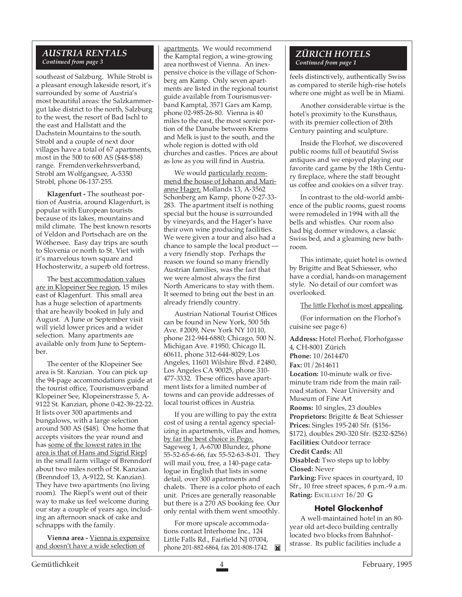#### *AUSTRIA RENTALS Continued from page 3*

southeast of Salzburg. While Strobl is a pleasant enough lakeside resort, it's surrounded by some of Austria's most beautiful areas: the Salzkammergut lake district to the north, Salzburg to the west, the resort of Bad Ischl to the east and Hallstatt and the Dachstein Mountains to the south. Strobl and a couple of next door villages have a total of 67 apartments, most in the 500 to 600 AS (\$48-\$58) range. Fremdenverkehrsverband, Strobl am Wolfgangsee, A-5350 Strobl, phone 06-137-255.

**Klagenfurt -** The southeast portion of Austria, around Klagenfurt, is popular with European tourists because of its lakes, mountains and mild climate. The best known resorts of Veldon and Portschach are on the Wöthersee. Easy day trips are south to Slovenia or north to St. Viet with it's marvelous town square and Hochosterwitz, a superb old fortress.

The best accommodation values are in Klopeiner See region, 15 miles east of Klagenfurt. This small area has a huge selection of apartments that are heavily booked in July and August. A June or September visit will yield lower prices and a wider selection. Many apartments are available only from June to September.

The center of the Klopeiner See area is St. Kanzian. You can pick up the 94-page accommodations guide at the tourist office, Tourismusverband Klopeiner See, Klopeinerstrasse 5, A-9122 St. Kanzian, phone 0-42-39-22-22. It lists over 300 apartments and bungalows, with a large selection around 500 AS (\$48). One home that accepts visitors the year round and has some of the lowest rates in the area is that of Hans and Sigrid Riepl in the small farm village of Brenndorf about two miles north of St. Kanzian. (Brenndorf 13, A-9122, St. Kanzian). They have two apartments (no living room). The Riepl's went out of their way to make us feel welcome during our stay a couple of years ago, including an afternoon snack of cake and schnapps with the family.

**Vienna area -** Vienna is expensive and doesn't have a wide selection of

apartments. We would recommend the Kamptal region, a wine-growing area northwest of Vienna. An inexpensive choice is the village of Schonberg am Kamp. Only seven apartments are listed in the regional tourist guide available from Tourismusverband Kamptal, 3571 Gars am Kamp, phone 02-985-26-80. Vienna is 40 miles to the east, the most scenic portion of the Danube between Krems and Melk is just to the south, and the whole region is dotted with old churches and castles. Prices are about as low as you will find in Austria.

We would particularly recommend the house of Johann and Marianne Hager, Mollands 13, A-3562 Schonberg am Kamp, phone 0-27-33- 283. The apartment itself is nothing special but the house is surrounded by vineyards, and the Hager's have their own wine producing facilities. We were given a tour and also had a chance to sample the local product a very friendly stop. Perhaps the reason we found so many friendly Austrian families, was the fact that we were almost always the first North Americans to stay with them. It seemed to bring out the best in an already friendly country.

Austrian National Tourist Offices can be found in New York, 500 5th Ave. #2009, New York NY 10110, phone 212-944-6880; Chicago, 500 N. Michigan Ave. #1950, Chicago IL 60611, phone 312-644-8029; Los Angeles, 11601 Wilshire Blvd. #2480, Los Angeles CA 90025, phone 310- 477-3332. These offices have apartment lists for a limited number of towns and can provide addresses of local tourist offices in Austria.

If you are willing to pay the extra cost of using a rental agency specializing in apartments, villas and homes, by far the best choice is Pego, Sageweg 1, A-6700 Blundez, phone 55-52-65-6-66, fax 55-52-63-8-01. They will mail you, free, a 140-page catalogue in English that lists in some detail, over 300 apartments and chalets. There is a color photo of each unit. Prices are generally reasonable but there is a 270 AS booking fee. Our only rental with them went smoothly.

For more upscale accommodations contact Interhome Inc., 124 Little Falls Rd., Fairfield NJ 07004, phone 201-882-6864, fax 201-808-1742.

#### *ZÜRICH HOTELS Continued from page 1*

feels distinctively, authentically Swiss as compared to sterile high-rise hotels where one might as well be in Miami.

Another considerable virtue is the hotel's proximity to the Kunsthaus, with its premier collection of 20th Century painting and sculpture.

Inside the Florhof, we discovered public rooms full of beautiful Swiss antiques and we enjoyed playing our favorite card game by the 18th Century fireplace, where the staff brought us coffee and cookies on a silver tray.

In contrast to the old-world ambience of the public rooms, guest rooms were remodeled in 1994 with all the bells and whistles. Our room also had big dormer windows, a classic Swiss bed, and a gleaming new bathroom.

This intimate, quiet hotel is owned by Brigitte and Beat Schiesser, who have a cordial, hands-on management style. No detail of our comfort was overlooked.

The little Florhof is most appealing.

(For information on the Florhof's cuisine see page 6)

**Address:** Hotel Florhof, Florhofgasse 4, CH-8001 Zürich **Phone:** 10/2614470 **Fax:** 01/2614611 **Location:** 10-minute walk or fiveminute tram ride from the main railroad station. Near University and Museum of Fine Art **Rooms:** 10 singles, 23 doubles **Proprietors:** Brigitte & Beat Schiesser **Prices:** Singles 195-240 Sfr. (\$156- \$172), doubles 290-320 Sfr. (\$232-\$256) **Facilities:** Outdoor terrace **Credit Cards:** All **Disabled:** Two steps up to lobby **Closed:** Never Parking: Five spaces in courtyard, 10 Sfr., 10 free street spaces, 6 p.m.-9 a.m. **Rating:** EXCELLENT 16/20 **G**

#### **Hotel Glockenhof**

A well-maintained hotel in an 80 year old art-deco building centrally located two blocks from Bahnhofstrasse. Its public facilities include a

Gemütlichkeit 4 February, 1995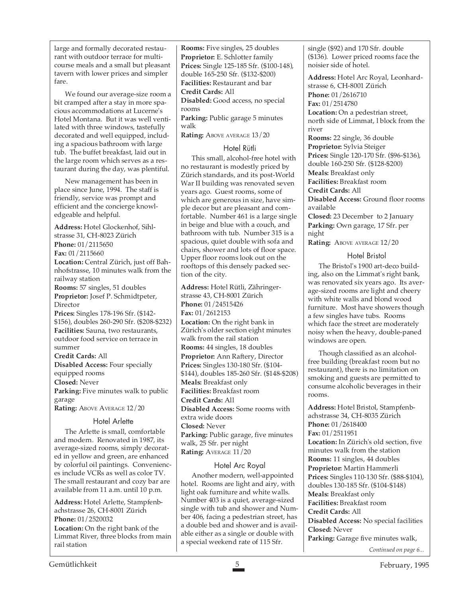large and formally decorated restaurant with outdoor terrace for multicourse meals and a small but pleasant tavern with lower prices and simpler fare.

We found our average-size room a bit cramped after a stay in more spacious accommodations at Lucerne's Hotel Montana. But it was well ventilated with three windows, tastefully decorated and well equipped, including a spacious bathroom with large tub. The buffet breakfast, laid out in the large room which serves as a restaurant during the day, was plentiful.

New management has been in place since June, 1994. The staff is friendly, service was prompt and efficient and the concierge knowledgeable and helpful.

**Address:** Hotel Glockenhof, Sihlstrasse 31, CH-8023 Zürich **Phone:** 01/2115650 **Fax:** 01/2115660 **Location:** Central Zürich, just off Bahnhofstrasse, 10 minutes walk from the railway station **Rooms:** 57 singles, 51 doubles **Proprietor:** Josef P. Schmidtpeter, Director **Prices:** Singles 178-196 Sfr. (\$142- \$156), doubles 260-290 Sfr. (\$208-\$232) **Facilities:** Sauna, two restaurants, outdoor food service on terrace in summer **Credit Cards:** All **Disabled Access:** Four specially equipped rooms **Closed:** Never

**Parking:** Five minutes walk to public garage **Rating: ABOVE AVERAGE 12/20** 

# Hotel Arlette

The Arlette is small, comfortable and modern. Renovated in 1987, its average-sized rooms, simply decorated in yellow and green, are enhanced by colorful oil paintings. Conveniences include VCRs as well as color TV. The small restaurant and cozy bar are available from 11 a.m. until 10 p.m.

**Address:** Hotel Arlette, Stampfenbachstrasse 26, CH-8001 Zürich **Phone:** 01/2520032

**Location:** On the right bank of the Limmat River, three blocks from main rail station

**Rooms:** Five singles, 25 doubles **Proprietor:** E. Schlotter family **Prices:** Single 125-185 Sfr. (\$100-148), double 165-250 Sfr. (\$132-\$200) **Facilities:** Restaurant and bar **Credit Cards:** All **Disabled:** Good access, no special rooms **Parking:** Public garage 5 minutes

walk

**Rating:** ABOVE AVERAGE  $13/20$ 

#### Hotel Rütli

This small, alcohol-free hotel with no restaurant is modestly priced by Zürich standards, and its post-World War II building was renovated seven years ago. Guest rooms, some of which are generous in size, have simple decor but are pleasant and comfortable. Number 461 is a large single in beige and blue with a couch, and bathroom with tub. Number 315 is a spacious, quiet double with sofa and chairs, shower and lots of floor space. Upper floor rooms look out on the rooftops of this densely packed section of the city.

**Address:** Hotel Rütli, Zähringerstrasse 43, CH-8001 Zürich **Phone:** 01/24515426 **Fax:** 01/2612153 Location: On the right bank in Zürich's older section eight minutes walk from the rail station **Rooms:** 44 singles, 18 doubles **Proprietor:** Ann Raftery, Director **Prices:** Singles 130-180 Sfr. (\$104- \$144), doubles 185-260 Sfr. (\$148-\$208) **Meals:** Breakfast only **Facilities:** Breakfast room **Credit Cards:** All **Disabled Access:** Some rooms with extra wide doors **Closed:** Never **Parking:** Public garage, five minutes walk, 25 Sfr. per night **Rating:** AVERAGE 11/20

## Hotel Arc Royal

Another modern, well-appointed hotel. Rooms are light and airy, with light oak furniture and white walls. Number 403 is a quiet, average-sized single with tub and shower and Number 406, facing a pedestrian street, has a double bed and shower and is available either as a single or double with a special weekend rate of 115 Sfr.

single (\$92) and 170 Sfr. double (\$136). Lower priced rooms face the noisier side of hotel.

**Address:** Hotel Arc Royal, Leonhardstrasse 6, CH-8001 Zürich **Phone:** 01/2616710 **Fax:** 01/2514780

Location: On a pedestrian street, north side of Limmat, l block from the river

**Rooms:** 22 single, 36 double **Proprietor:** Sylvia Steiger **Prices:** Single 120-170 Sfr. (\$96-\$136), double 160-250 Sfr. (\$128-\$200) **Meals:** Breakfast only

**Facilities:** Breakfast room

**Credit Cards:** All **Disabled Access:** Ground floor rooms available

**Closed:** 23 December to 2 January **Parking:** Own garage, 17 Sfr. per night

**Rating:** ABOVE AVERAGE 12/20

#### Hotel Bristol

The Bristol's 1900 art-deco building, also on the Limmat's right bank, was renovated six years ago. Its average-sized rooms are light and cheery with white walls and blond wood furniture. Most have showers though a few singles have tubs. Rooms which face the street are moderately noisy when the heavy, double-paned windows are open.

Though classified as an alcoholfree building (breakfast room but no restaurant), there is no limitation on smoking and guests are permitted to consume alcoholic beverages in their rooms.

**Address:** Hotel Bristol, Stampfenbachstrasse 34, CH-8035 Zürich **Phone:** 01/2618400 **Fax:** 01/2511951 **Location:** In Zürich's old section, five minutes walk from the station **Rooms:** 11 singles, 44 doubles **Proprietor:** Martin Hammerli **Prices:** Singles 110-130 Sfr. (\$88-\$104), doubles 130-185 Sfr. (\$104-\$148) **Meals:** Breakfast only **Facilities:** Breakfast room **Credit Cards:** All **Disabled Access:** No special facilities **Closed:** Never **Parking:** Garage five minutes walk, *Continued on page 6...*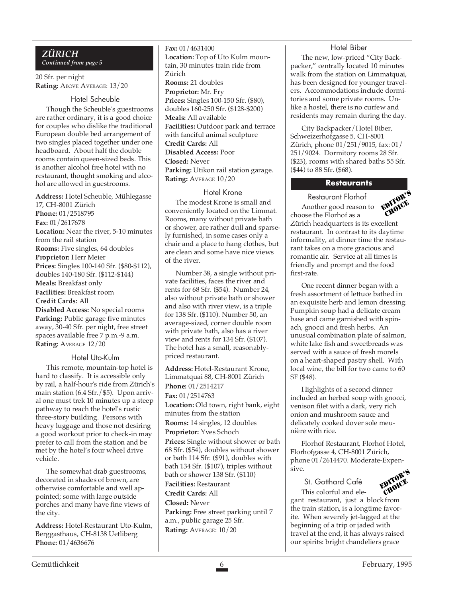#### *ZÜRICH Continued from page 5*

20 Sfr. per night **Rating: ABOVE AVERAGE: 13/20** 

#### Hotel Scheuble

Though the Scheuble's guestrooms are rather ordinary, it is a good choice for couples who dislike the traditional European double bed arrangement of two singles placed together under one headboard. About half the double rooms contain queen-sized beds. This is another alcohol free hotel with no restaurant, thought smoking and alcohol are allowed in guestrooms.

**Address:** Hotel Scheuble, Mühlegasse 17, CH-8001 Zürich **Phone:** 01/2518795 **Fax:** 01/2617678 **Location:** Near the river, 5-10 minutes from the rail station **Rooms:** Five singles, 64 doubles **Proprietor:** Herr Meier **Prices:** Singles 100-140 Sfr. (\$80-\$112), doubles 140-180 Sfr. (\$112-\$144) **Meals:** Breakfast only **Facilities:** Breakfast room **Credit Cards:** All **Disabled Access:** No special rooms Parking: Public garage five minutes away, 30-40 Sfr. per night, free street spaces available free 7 p.m.-9 a.m. **Rating:** AVERAGE 12/20

#### Hotel Uto-Kulm

This remote, mountain-top hotel is hard to classify. It is accessible only by rail, a half-hour's ride from Zürich's main station (6.4 Sfr./\$5). Upon arrival one must trek 10 minutes up a steep pathway to reach the hotel's rustic three-story building. Persons with heavy luggage and those not desiring a good workout prior to check-in may prefer to call from the station and be met by the hotel's four wheel drive vehicle.

The somewhat drab guestrooms, decorated in shades of brown, are otherwise comfortable and well appointed; some with large outside porches and many have fine views of the city.

**Address:** Hotel-Restaurant Uto-Kulm, Berggasthaus, CH-8138 Uetliberg **Phone:** 01/4636676

**Fax:** 01/4631400 **Location:** Top of Uto Kulm mountain, 30 minutes train ride from Zürich **Rooms:** 21 doubles **Proprietor:** Mr. Fry **Prices:** Singles 100-150 Sfr. (\$80), doubles 160-250 Sfr. (\$128-\$200) **Meals:** All available **Facilities:** Outdoor park and terrace with fanciful animal sculpture **Credit Cards:** All **Disabled Access:** Poor **Closed:** Never **Parking:** Utikon rail station garage. **Rating:** AVERAGE 10/20

#### Hotel Krone

The modest Krone is small and conveniently located on the Limmat. Rooms, many without private bath or shower, are rather dull and sparsely furnished, in some cases only a chair and a place to hang clothes, but are clean and some have nice views of the river.

Number 38, a single without private facilities, faces the river and rents for 68 Sfr. (\$54). Number 24, also without private bath or shower and also with river view, is a triple for 138 Sfr. (\$110). Number 50, an average-sized, corner double room with private bath, also has a river view and rents for 134 Sfr. (\$107). The hotel has a small, reasonablypriced restaurant.

**Address:** Hotel-Restaurant Krone, Limmatquai 88, CH-8001 Zürich **Phone:** 01/2514217 **Fax:** 01/2514763

**Location:** Old town, right bank, eight minutes from the station

**Rooms:** 14 singles, 12 doubles

**Proprietor:** Yves Schoch **Prices:** Single without shower or bath 68 Sfr. (\$54), doubles without shower or bath 114 Sfr. (\$91), doubles with bath 134 Sfr. (\$107), triples without bath or shower 138 Sfr. (\$110) **Facilities:** Restaurant

**Credit Cards:** All

**Closed:** Never

**Parking:** Free street parking until 7 a.m., public garage 25 Sfr. **Rating:** AVERAGE: 10/20

#### Hotel Biber

The new, low-priced "City Backpacker," centrally located 10 minutes walk from the station on Limmatquai, has been designed for younger travelers. Accommodations include dormitories and some private rooms. Unlike a hostel, there is no curfew and residents may remain during the day.

City Backpacker/Hotel Biber, Schweizerhofgasse 5, CH-8001 Zürich, phone 01/251/9015, fax: 01/ 251/9024. Dormitory rooms 28 Sfr. (\$23), rooms with shared baths 55 Sfr. (\$44) to 88 Sfr. (\$68).

#### **Restaurants**

Restaurant Florhof Another good reason to



choose the Florhof as a Zürich headquarters is its excellent restaurant. In contrast to its daytime informality, at dinner time the restaurant takes on a more gracious and romantic air. Service at all times is friendly and prompt and the food first-rate.

One recent dinner began with a fresh assortment of lettuce bathed in an exquisite herb and lemon dressing. Pumpkin soup had a delicate cream base and came garnished with spinach, gnocci and fresh herbs. An unusual combination plate of salmon, white lake fish and sweetbreads was served with a sauce of fresh morels on a heart-shaped pastry shell. With local wine, the bill for two came to 60 SF (\$48).

Highlights of a second dinner included an herbed soup with gnocci, venison filet with a dark, very rich onion and mushroom sauce and delicately cooked dover sole meunière with rice.

Florhof Restaurant, Florhof Hotel, Florhofgasse 4, CH-8001 Zürich, phone 01/2614470. Moderate-Expensive.

St. Gotthard Café This colorful and ele-



gant restaurant, just a block from the train station, is a longtime favorite. When severely jet-lagged at the beginning of a trip or jaded with travel at the end, it has always raised our spirits: bright chandeliers grace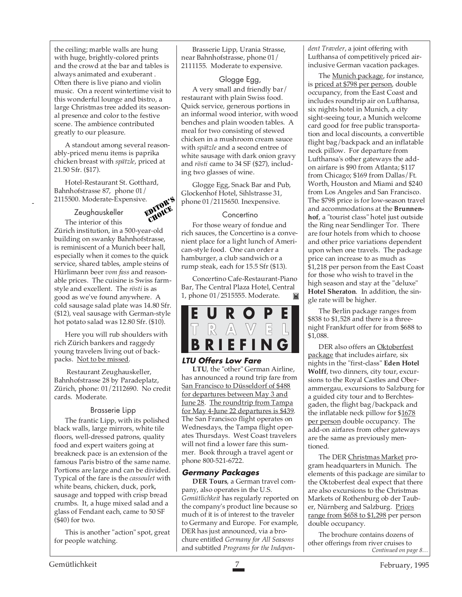the ceiling; marble walls are hung with huge, brightly-colored prints and the crowd at the bar and tables is always animated and exuberant . Often there is live piano and violin music. On a recent wintertime visit to this wonderful lounge and bistro, a large Christmas tree added its seasonal presence and color to the festive scene. The ambience contributed greatly to our pleasure.

A standout among several reasonably-priced menu items is paprika chicken breast with *spätzle*, priced at 21.50 Sfr. (\$17).

Hotel-Restaurant St. Gotthard, Bahnhofstrasse 87, phone 01/ 2115500. Moderate-Expensive.

Zeughauskeller

-



The interior of this Zürich institution, in a 500-year-old building on swanky Bahnhofstrasse, is reminiscent of a Munich beer hall, especially when it comes to the quick service, shared tables, ample steins of Hürlimann beer *vom fass* and reasonable prices. The cuisine is Swiss farmstyle and excellent. The *rösti* is as good as we've found anywhere. A cold sausage salad plate was 14.80 Sfr. (\$12), veal sausage with German-style hot potato salad was 12.80 Sfr. (\$10).

Here you will rub shoulders with rich Zürich bankers and raggedy young travelers living out of backpacks. Not to be missed.

 Restaurant Zeughauskeller, Bahnhofstrasse 28 by Paradeplatz, Zürich, phone: 01/2112690. No credit cards. Moderate.

#### Brasserie Lipp

The frantic Lipp, with its polished black walls, large mirrors, white tile floors, well-dressed patrons, quality food and expert waiters going at breakneck pace is an extension of the famous Paris bistro of the same name. Portions are large and can be divided. Typical of the fare is the *cassoulet* with white beans, chicken, duck, pork, sausage and topped with crisp bread crumbs. It, a huge mixed salad and a glass of Fendant each, came to 50 SF (\$40) for two.

This is another "action" spot, great for people watching.

Brasserie Lipp, Urania Strasse, near Bahnhofstrasse, phone 01/ 2111155. Moderate to expensive.

#### Glogge Egg,

A very small and friendly bar/ restaurant with plain Swiss food. Quick service, generous portions in an informal wood interior, with wood benches and plain wooden tables. A meal for two consisting of stewed chicken in a mushroom cream sauce with *spätzle* and a second entree of white sausage with dark onion gravy and *rösti* came to 34 SF (\$27), including two glasses of wine.

Glogge Egg, Snack Bar and Pub, Glockenhof Hotel, Sihlstrasse 31, phone 01/2115650. Inexpensive.

#### **Concertino**

For those weary of fondue and rich sauces, the Concertino is a convenient place for a light lunch of American-style food. One can order a hamburger, a club sandwich or a rump steak, each for 15.5 Sfr (\$13).

Concertino Cafe-Restaurant-Piano Bar, The Central Plaza Hotel, Central 1, phone 01/2515555. Moderate. M



#### **LTU Offers Low Fare**

**LTU**, the "other" German Airline, has announced a round trip fare from San Francisco to Düsseldorf of \$488 for departures between May 3 and June 28. The roundtrip from Tampa for May 4-June 22 departures is \$439. The San Francisco flight operates on Wednesdays, the Tampa flight operates Thursdays. West Coast travelers will not find a lower fare this summer. Book through a travel agent or phone 800-521-6722.

#### **Germany Packages**

**DER Tours**, a German travel company, also operates in the U.S. *Gemütlichkeit* has regularly reported on the company's product line because so much of it is of interest to the traveler to Germany and Europe. For example, DER has just announced, via a brochure entitled *Germany for All Seasons* and subtitled *Programs for the Indepen-* *dent Traveler*, a joint offering with Lufthansa of competitively priced airinclusive German vacation packages.

The **Munich package**, for instance, is priced at \$798 per person, double occupancy, from the East Coast and includes roundtrip air on Lufthansa, six nights hotel in Munich, a city sight-seeing tour, a Munich welcome card good for free public transportation and local discounts, a convertible flight bag/backpack and an inflatable neck pillow. For departure from Lufthansa's other gateways the addon airfare is \$90 from Atlanta; \$117 from Chicago; \$169 from Dallas/Ft. Worth, Houston and Miami and \$240 from Los Angeles and San Francisco. The \$798 price is for low-season travel and accommodations at the **Brunnenhof**, a "tourist class" hotel just outside the Ring near Sendlinger Tor. There are four hotels from which to choose and other price variations dependent upon when one travels. The package price can increase to as much as \$1,218 per person from the East Coast for those who wish to travel in the high season and stay at the "deluxe" **Hotel Sheraton**. In addition, the single rate will be higher.

The Berlin package ranges from \$838 to \$1,528 and there is a threenight Frankfurt offer for from \$688 to \$1,088.

DER also offers an Oktoberfest package that includes airfare, six nights in the "first-class" **Eden Hotel Wolff**, two dinners, city tour, excursions to the Royal Castles and Oberammergau, excursions to Salzburg for a guided city tour and to Berchtesgaden, the flight bag/backpack and the inflatable neck pillow for \$1678 per person double occupancy. The add-on airfares from other gateways are the same as previously mentioned.

The DER Christmas Market program headquarters in Munich. The elements of this package are similar to the Oktoberfest deal expect that there are also excursions to the Christmas Markets of Rothenburg ob der Tauber, Nürnberg and Salzburg. Prices range from \$658 to \$1,298 per person double occupancy.

The brochure contains dozens of other offerings from river cruises to *Continued on page 8…*